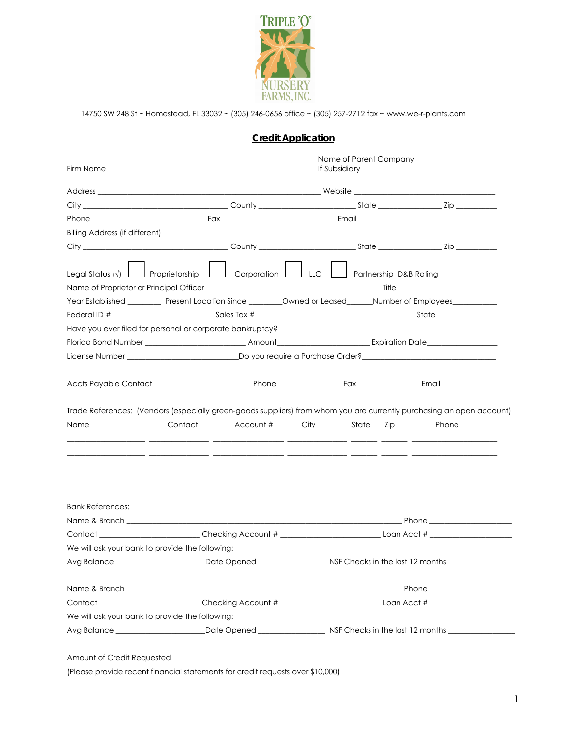

14750 SW 248 St ~ Homestead, FL 33032 ~ (305) 246-0656 office ~ (305) 257-2712 fax ~ www.we-r-plants.com

## **Credit Application**

|                                                                                                                                       | Legal Status (v) Proprietorship Corporation Luc Partnership D&B Rating                                                                                                                                                                                                                                                                                                                                                |                      |       |
|---------------------------------------------------------------------------------------------------------------------------------------|-----------------------------------------------------------------------------------------------------------------------------------------------------------------------------------------------------------------------------------------------------------------------------------------------------------------------------------------------------------------------------------------------------------------------|----------------------|-------|
|                                                                                                                                       |                                                                                                                                                                                                                                                                                                                                                                                                                       |                      |       |
|                                                                                                                                       | Year Established ____________ Present Location Since __________Owned or Leased______Number of Employees__________                                                                                                                                                                                                                                                                                                     |                      |       |
|                                                                                                                                       |                                                                                                                                                                                                                                                                                                                                                                                                                       |                      |       |
|                                                                                                                                       | Have you ever filed for personal or corporate bankruptcy? The contract of the contract of the contract of the contract of the contract of the contract of the contract of the contract of the contract of the contract of the                                                                                                                                                                                         |                      |       |
|                                                                                                                                       |                                                                                                                                                                                                                                                                                                                                                                                                                       |                      |       |
|                                                                                                                                       |                                                                                                                                                                                                                                                                                                                                                                                                                       |                      |       |
|                                                                                                                                       |                                                                                                                                                                                                                                                                                                                                                                                                                       |                      |       |
|                                                                                                                                       | Trade References: (Vendors (especially green-goods suppliers) from whom you are currently purchasing an open account)<br>Contact<br>Account #                                                                                                                                                                                                                                                                         | City<br>State<br>Zip | Phone |
|                                                                                                                                       | <u> 1999 - Andrea Andrew Maria (h. 1989).</u><br><u> 2000 - 2000 - 2000 - 2000 - 2000 - 2000 - 2000 - 2000 - 2000 - 2000 - 2000 - 2000 - 2000 - 2000 - 2000 - 200</u><br><u> 2000 - 2000 - 2000 - 2000 - 2000 - 2000 - 2000 - 2000 - 2000 - 2000 - 2000 - 2000 - 2000 - 2000 - 2000 - 200</u><br><u> 2000 - 2000 - 2000 - 2000 - 2000 - 2000 - 2000 - 2000 - 2000 - 2000 - 2000 - 2000 - 2000 - 2000 - 2000 - 200</u> |                      |       |
|                                                                                                                                       |                                                                                                                                                                                                                                                                                                                                                                                                                       |                      |       |
|                                                                                                                                       |                                                                                                                                                                                                                                                                                                                                                                                                                       |                      |       |
|                                                                                                                                       | Contact Contact Christian Checking Account # Christian Christian Loan Acct # Contact # Christian Christian Christian Christian Christian Christian Christian Christian Christian Christian Christian Christian Christian Chris                                                                                                                                                                                        |                      |       |
|                                                                                                                                       |                                                                                                                                                                                                                                                                                                                                                                                                                       |                      |       |
|                                                                                                                                       |                                                                                                                                                                                                                                                                                                                                                                                                                       |                      |       |
|                                                                                                                                       |                                                                                                                                                                                                                                                                                                                                                                                                                       |                      |       |
|                                                                                                                                       |                                                                                                                                                                                                                                                                                                                                                                                                                       |                      |       |
|                                                                                                                                       |                                                                                                                                                                                                                                                                                                                                                                                                                       |                      |       |
| Name<br><b>Bank References:</b><br>We will ask your bank to provide the following:<br>We will ask your bank to provide the following: |                                                                                                                                                                                                                                                                                                                                                                                                                       |                      |       |

(Please provide recent financial statements for credit requests over \$10,000)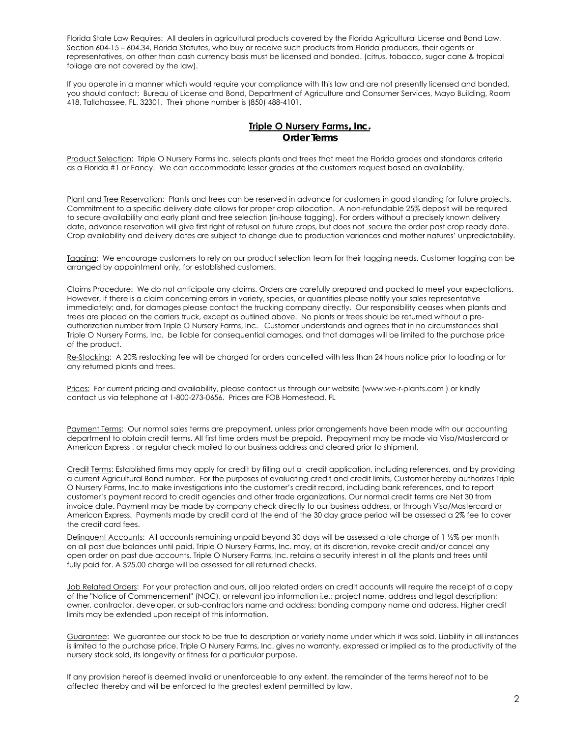Florida State Law Requires: All dealers in agricultural products covered by the Florida Agricultural License and Bond Law, Section 604-15 – 604.34, Florida Statutes, who buy or receive such products from Florida producers, their agents or representatives, on other than cash currency basis must be licensed and bonded. (citrus, tobacco, sugar cane & tropical foliage are not covered by the law).

If you operate in a manner which would require your compliance with this law and are not presently licensed and bonded, you should contact: Bureau of License and Bond, Department of Agriculture and Consumer Services, Mayo Building, Room 418, Tallahassee, FL. 32301. Their phone number is (850) 488-4101.

## **Triple O Nursery Farms, Inc. Order Terms**

Product Selection: Triple O Nursery Farms Inc. selects plants and trees that meet the Florida grades and standards criteria as a Florida #1 or Fancy. We can accommodate lesser grades at the customers request based on availability.

Plant and Tree Reservation: Plants and trees can be reserved in advance for customers in good standing for future projects. Commitment to a specific delivery date allows for proper crop allocation. A non-refundable 25% deposit will be required to secure availability and early plant and tree selection (in-house tagging). For orders without a precisely known delivery date, advance reservation will give first right of refusal on future crops, but does not secure the order past crop ready date. Crop availability and delivery dates are subject to change due to production variances and mother natures' unpredictability.

Tagging: We encourage customers to rely on our product selection team for their tagging needs. Customer tagging can be arranged by appointment only, for established customers.

Claims Procedure: We do not anticipate any claims. Orders are carefully prepared and packed to meet your expectations. However, if there is a claim concerning errors in variety, species, or quantities please notify your sales representative immediately; and, for damages please contact the trucking company directly. Our responsibility ceases when plants and trees are placed on the carriers truck, except as outlined above. No plants or trees should be returned without a preauthorization number from Triple O Nursery Farms, Inc. Customer understands and agrees that in no circumstances shall Triple O Nursery Farms, Inc. be liable for consequential damages, and that damages will be limited to the purchase price of the product.

Re-Stocking: A 20% restocking fee will be charged for orders cancelled with less than 24 hours notice prior to loading or for any returned plants and trees.

Prices: For current pricing and availability, please contact us through our website (www.we-r-plants.com ) or kindly contact us via telephone at 1-800-273-0656. Prices are FOB Homestead, FL

Payment Terms: Our normal sales terms are prepayment, unless prior arrangements have been made with our accounting department to obtain credit terms. All first time orders must be prepaid. Prepayment may be made via Visa/Mastercard or American Express , or regular check mailed to our business address and cleared prior to shipment.

Credit Terms: Established firms may apply for credit by filling out a credit application, including references, and by providing a current Agricultural Bond number. For the purposes of evaluating credit and credit limits, Customer hereby authorizes Triple O Nursery Farms, Inc.to make investigations into the customer's credit record, including bank references, and to report customer's payment record to credit agencies and other trade organizations. Our normal credit terms are Net 30 from invoice date. Payment may be made by company check directly to our business address, or through Visa/Mastercard or American Express. Payments made by credit card at the end of the 30 day grace period will be assessed a 2% fee to cover the credit card fees.

Delinquent Accounts: All accounts remaining unpaid beyond 30 days will be assessed a late charge of 1 1/2% per month on all past due balances until paid. Triple O Nursery Farms, Inc. may, at its discretion, revoke credit and/or cancel any open order on past due accounts. Triple O Nursery Farms, Inc. retains a security interest in all the plants and trees until fully paid for. A \$25.00 charge will be assessed for all returned checks.

Job Related Orders: For your protection and ours, all job related orders on credit accounts will require the receipt of a copy of the "Notice of Commencement" (NOC), or relevant job information i.e.: project name, address and legal description; owner, contractor, developer, or sub-contractors name and address; bonding company name and address. Higher credit limits may be extended upon receipt of this information.

Guarantee: We guarantee our stock to be true to description or variety name under which it was sold. Liability in all instances is limited to the purchase price. Triple O Nursery Farms, Inc. gives no warranty, expressed or implied as to the productivity of the nursery stock sold, its longevity or fitness for a particular purpose.

If any provision hereof is deemed invalid or unenforceable to any extent, the remainder of the terms hereof not to be affected thereby and will be enforced to the greatest extent permitted by law.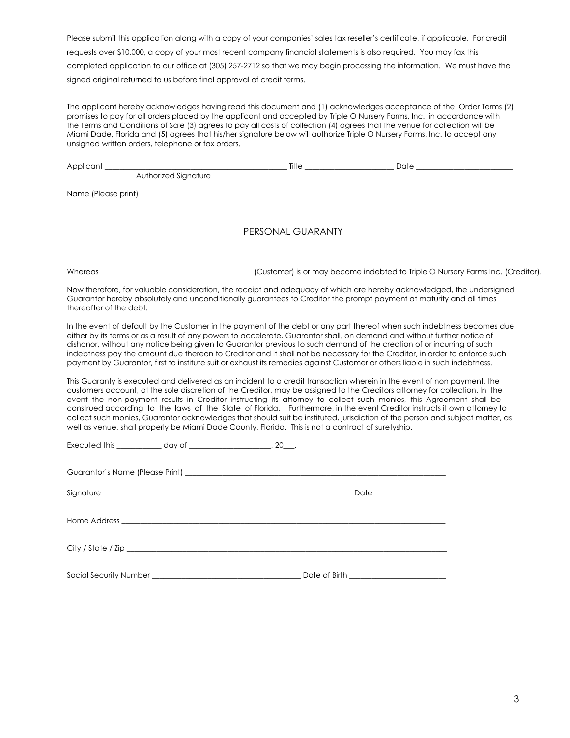Please submit this application along with a copy of your companies' sales tax reseller's certificate, if applicable. For credit requests over \$10,000, a copy of your most recent company financial statements is also required. You may fax this completed application to our office at (305) 257-2712 so that we may begin processing the information. We must have the signed original returned to us before final approval of credit terms.

The applicant hereby acknowledges having read this document and (1) acknowledges acceptance of the Order Terms (2) promises to pay for all orders placed by the applicant and accepted by Triple O Nursery Farms, Inc. in accordance with the Terms and Conditions of Sale (3) agrees to pay all costs of collection (4) agrees that the venue for collection will be Miami Dade, Florida and (5) agrees that his/her signature below will authorize Triple O Nursery Farms, Inc. to accept any unsigned written orders, telephone or fax orders.

| Applicant            | Title | Date |  |
|----------------------|-------|------|--|
| Authorized Signature |       |      |  |
| Name (Please print)  |       |      |  |

## PERSONAL GUARANTY

Whereas entity and the UCUSTOM of the Customer) is or may become indebted to Triple O Nursery Farms Inc. (Creditor).

Now therefore, for valuable consideration, the receipt and adequacy of which are hereby acknowledged, the undersigned Guarantor hereby absolutely and unconditionally guarantees to Creditor the prompt payment at maturity and all times thereafter of the debt.

In the event of default by the Customer in the payment of the debt or any part thereof when such indebtness becomes due either by its terms or as a result of any powers to accelerate, Guarantor shall, on demand and without further notice of dishonor, without any notice being given to Guarantor previous to such demand of the creation of or incurring of such indebtness pay the amount due thereon to Creditor and it shall not be necessary for the Creditor, in order to enforce such payment by Guarantor, first to institute suit or exhaust its remedies against Customer or others liable in such indebtness.

This Guaranty is executed and delivered as an incident to a credit transaction wherein in the event of non payment, the customers account, at the sole discretion of the Creditor, may be assigned to the Creditors attorney for collection. In the event the non-payment results in Creditor instructing its attorney to collect such monies, this Agreement shall be construed according to the laws of the State of Florida. Furthermore, in the event Creditor instructs it own attorney to collect such monies, Guarantor acknowledges that should suit be instituted, jurisdiction of the person and subject matter, as well as venue, shall properly be Miami Dade County, Florida. This is not a contract of suretyship.

|  | Date ___________________                   |  |
|--|--------------------------------------------|--|
|  |                                            |  |
|  |                                            |  |
|  | Date of Birth ____________________________ |  |